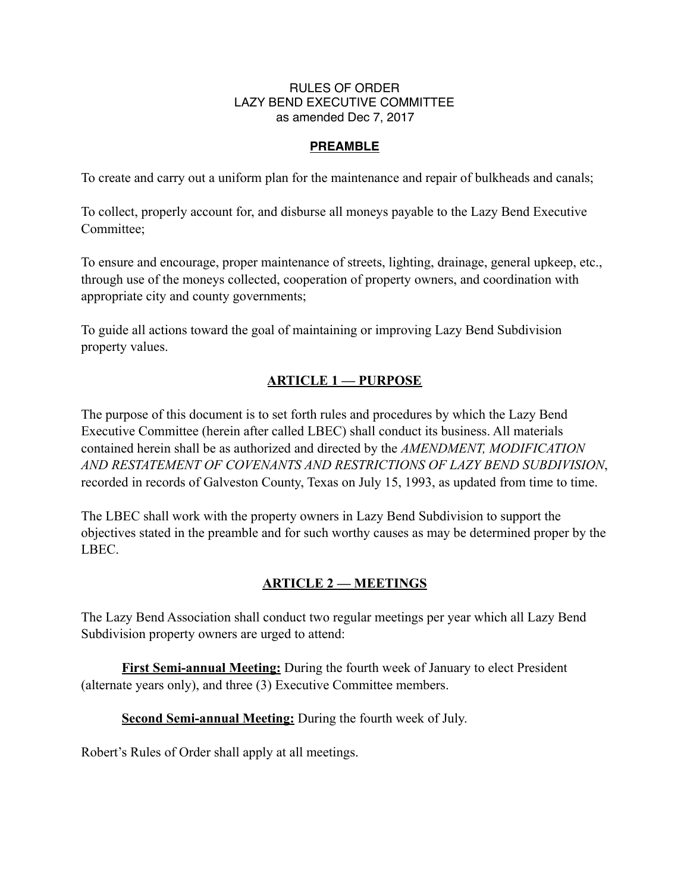#### RULES OF ORDER LAZY BEND EXECUTIVE COMMITTEE as amended Dec 7, 2017

#### **PREAMBLE**

To create and carry out a uniform plan for the maintenance and repair of bulkheads and canals;

To collect, properly account for, and disburse all moneys payable to the Lazy Bend Executive Committee;

To ensure and encourage, proper maintenance of streets, lighting, drainage, general upkeep, etc., through use of the moneys collected, cooperation of property owners, and coordination with appropriate city and county governments;

To guide all actions toward the goal of maintaining or improving Lazy Bend Subdivision property values.

## **ARTICLE 1 — PURPOSE**

The purpose of this document is to set forth rules and procedures by which the Lazy Bend Executive Committee (herein after called LBEC) shall conduct its business. All materials contained herein shall be as authorized and directed by the *AMENDMENT, MODIFICATION AND RESTATEMENT OF COVENANTS AND RESTRICTIONS OF LAZY BEND SUBDIVISION*, recorded in records of Galveston County, Texas on July 15, 1993, as updated from time to time.

The LBEC shall work with the property owners in Lazy Bend Subdivision to support the objectives stated in the preamble and for such worthy causes as may be determined proper by the LBEC.

#### **ARTICLE 2 — MEETINGS**

The Lazy Bend Association shall conduct two regular meetings per year which all Lazy Bend Subdivision property owners are urged to attend:

**First Semi-annual Meeting:** During the fourth week of January to elect President (alternate years only), and three (3) Executive Committee members.

**Second Semi-annual Meeting:** During the fourth week of July.

Robert's Rules of Order shall apply at all meetings.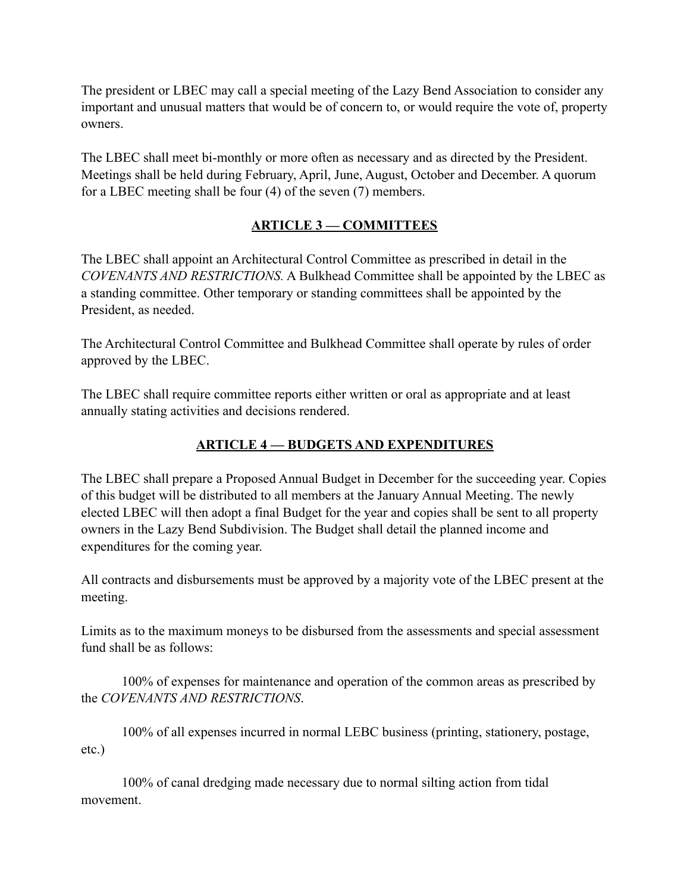The president or LBEC may call a special meeting of the Lazy Bend Association to consider any important and unusual matters that would be of concern to, or would require the vote of, property owners.

The LBEC shall meet bi-monthly or more often as necessary and as directed by the President. Meetings shall be held during February, April, June, August, October and December. A quorum for a LBEC meeting shall be four (4) of the seven (7) members.

## **ARTICLE 3 — COMMITTEES**

The LBEC shall appoint an Architectural Control Committee as prescribed in detail in the *COVENANTS AND RESTRICTIONS.* A Bulkhead Committee shall be appointed by the LBEC as a standing committee. Other temporary or standing committees shall be appointed by the President, as needed.

The Architectural Control Committee and Bulkhead Committee shall operate by rules of order approved by the LBEC.

The LBEC shall require committee reports either written or oral as appropriate and at least annually stating activities and decisions rendered.

# **ARTICLE 4 — BUDGETS AND EXPENDITURES**

The LBEC shall prepare a Proposed Annual Budget in December for the succeeding year. Copies of this budget will be distributed to all members at the January Annual Meeting. The newly elected LBEC will then adopt a final Budget for the year and copies shall be sent to all property owners in the Lazy Bend Subdivision. The Budget shall detail the planned income and expenditures for the coming year.

All contracts and disbursements must be approved by a majority vote of the LBEC present at the meeting.

Limits as to the maximum moneys to be disbursed from the assessments and special assessment fund shall be as follows:

 100% of expenses for maintenance and operation of the common areas as prescribed by the *COVENANTS AND RESTRICTIONS*.

 100% of all expenses incurred in normal LEBC business (printing, stationery, postage, etc.)

 100% of canal dredging made necessary due to normal silting action from tidal movement.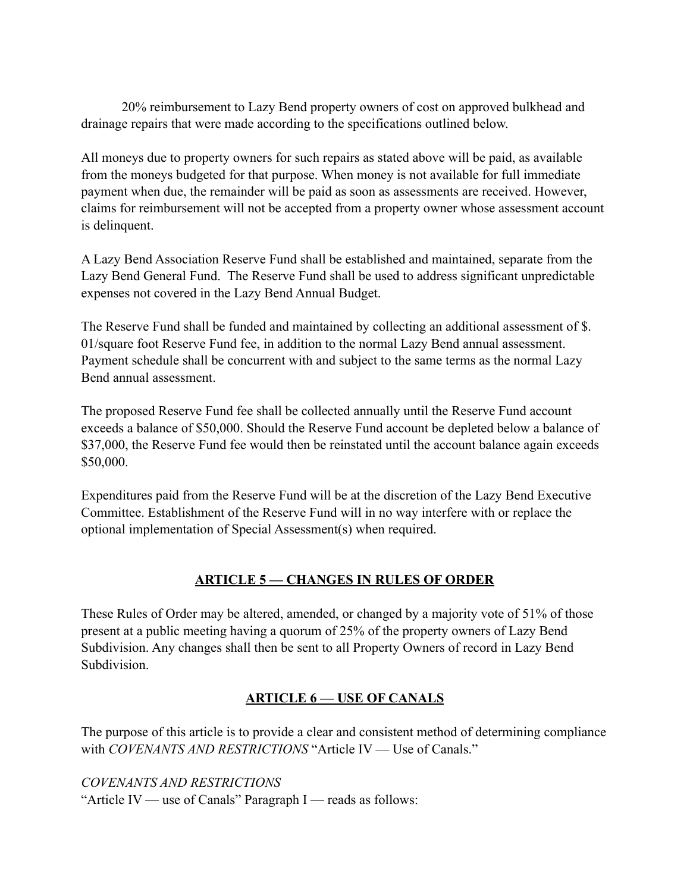20% reimbursement to Lazy Bend property owners of cost on approved bulkhead and drainage repairs that were made according to the specifications outlined below.

All moneys due to property owners for such repairs as stated above will be paid, as available from the moneys budgeted for that purpose. When money is not available for full immediate payment when due, the remainder will be paid as soon as assessments are received. However, claims for reimbursement will not be accepted from a property owner whose assessment account is delinquent.

A Lazy Bend Association Reserve Fund shall be established and maintained, separate from the Lazy Bend General Fund. The Reserve Fund shall be used to address significant unpredictable expenses not covered in the Lazy Bend Annual Budget.

The Reserve Fund shall be funded and maintained by collecting an additional assessment of \$. 01/square foot Reserve Fund fee, in addition to the normal Lazy Bend annual assessment. Payment schedule shall be concurrent with and subject to the same terms as the normal Lazy Bend annual assessment.

The proposed Reserve Fund fee shall be collected annually until the Reserve Fund account exceeds a balance of \$50,000. Should the Reserve Fund account be depleted below a balance of \$37,000, the Reserve Fund fee would then be reinstated until the account balance again exceeds \$50,000.

Expenditures paid from the Reserve Fund will be at the discretion of the Lazy Bend Executive Committee. Establishment of the Reserve Fund will in no way interfere with or replace the optional implementation of Special Assessment(s) when required.

# **ARTICLE 5 — CHANGES IN RULES OF ORDER**

These Rules of Order may be altered, amended, or changed by a majority vote of 51% of those present at a public meeting having a quorum of 25% of the property owners of Lazy Bend Subdivision. Any changes shall then be sent to all Property Owners of record in Lazy Bend Subdivision.

# **ARTICLE 6 — USE OF CANALS**

The purpose of this article is to provide a clear and consistent method of determining compliance with *COVENANTS AND RESTRICTIONS* "Article IV — Use of Canals."

*COVENANTS AND RESTRICTIONS* "Article IV — use of Canals" Paragraph I — reads as follows: